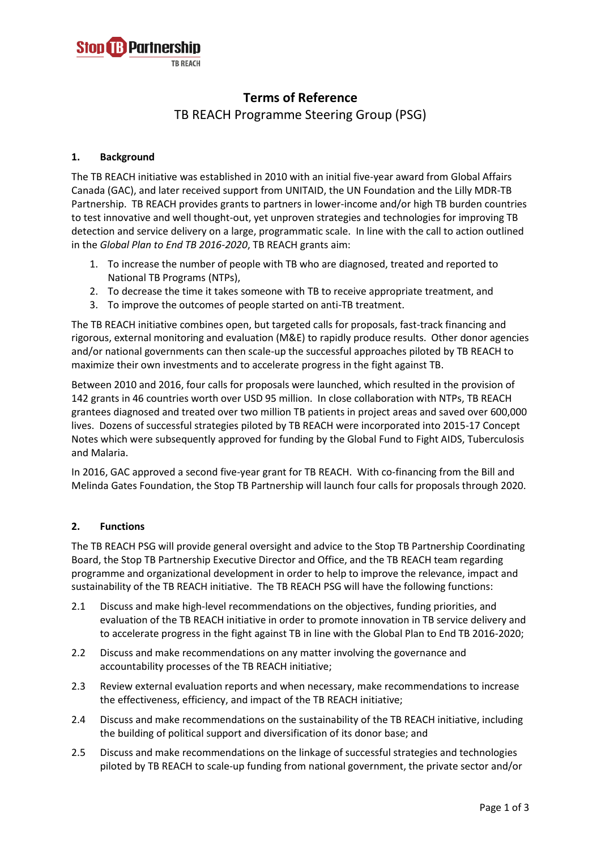

# **Terms of Reference**

TB REACH Programme Steering Group (PSG)

## **1. Background**

The TB REACH initiative was established in 2010 with an initial five-year award from Global Affairs Canada (GAC), and later received support from UNITAID, the UN Foundation and the Lilly MDR-TB Partnership. TB REACH provides grants to partners in lower-income and/or high TB burden countries to test innovative and well thought-out, yet unproven strategies and technologies for improving TB detection and service delivery on a large, programmatic scale. In line with the call to action outlined in the *Global Plan to End TB 2016-2020*, TB REACH grants aim:

- 1. To increase the number of people with TB who are diagnosed, treated and reported to National TB Programs (NTPs),
- 2. To decrease the time it takes someone with TB to receive appropriate treatment, and
- 3. To improve the outcomes of people started on anti-TB treatment.

The TB REACH initiative combines open, but targeted calls for proposals, fast-track financing and rigorous, external monitoring and evaluation (M&E) to rapidly produce results. Other donor agencies and/or national governments can then scale-up the successful approaches piloted by TB REACH to maximize their own investments and to accelerate progress in the fight against TB.

Between 2010 and 2016, four calls for proposals were launched, which resulted in the provision of 142 grants in 46 countries worth over USD 95 million. In close collaboration with NTPs, TB REACH grantees diagnosed and treated over two million TB patients in project areas and saved over 600,000 lives. Dozens of successful strategies piloted by TB REACH were incorporated into 2015-17 Concept Notes which were subsequently approved for funding by the Global Fund to Fight AIDS, Tuberculosis and Malaria.

In 2016, GAC approved a second five-year grant for TB REACH. With co-financing from the Bill and Melinda Gates Foundation, the Stop TB Partnership will launch four calls for proposals through 2020.

### **2. Functions**

The TB REACH PSG will provide general oversight and advice to the Stop TB Partnership Coordinating Board, the Stop TB Partnership Executive Director and Office, and the TB REACH team regarding programme and organizational development in order to help to improve the relevance, impact and sustainability of the TB REACH initiative. The TB REACH PSG will have the following functions:

- 2.1 Discuss and make high-level recommendations on the objectives, funding priorities, and evaluation of the TB REACH initiative in order to promote innovation in TB service delivery and to accelerate progress in the fight against TB in line with the Global Plan to End TB 2016-2020;
- 2.2 Discuss and make recommendations on any matter involving the governance and accountability processes of the TB REACH initiative;
- 2.3 Review external evaluation reports and when necessary, make recommendations to increase the effectiveness, efficiency, and impact of the TB REACH initiative;
- 2.4 Discuss and make recommendations on the sustainability of the TB REACH initiative, including the building of political support and diversification of its donor base; and
- 2.5 Discuss and make recommendations on the linkage of successful strategies and technologies piloted by TB REACH to scale-up funding from national government, the private sector and/or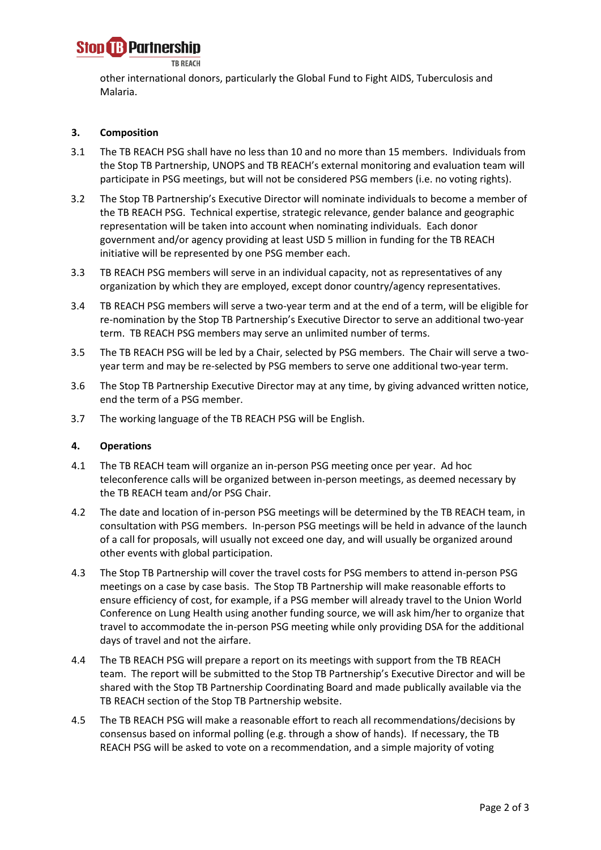

other international donors, particularly the Global Fund to Fight AIDS, Tuberculosis and Malaria.

### **3. Composition**

- 3.1 The TB REACH PSG shall have no less than 10 and no more than 15 members. Individuals from the Stop TB Partnership, UNOPS and TB REACH's external monitoring and evaluation team will participate in PSG meetings, but will not be considered PSG members (i.e. no voting rights).
- 3.2 The Stop TB Partnership's Executive Director will nominate individuals to become a member of the TB REACH PSG. Technical expertise, strategic relevance, gender balance and geographic representation will be taken into account when nominating individuals. Each donor government and/or agency providing at least USD 5 million in funding for the TB REACH initiative will be represented by one PSG member each.
- 3.3 TB REACH PSG members will serve in an individual capacity, not as representatives of any organization by which they are employed, except donor country/agency representatives.
- 3.4 TB REACH PSG members will serve a two-year term and at the end of a term, will be eligible for re-nomination by the Stop TB Partnership's Executive Director to serve an additional two-year term. TB REACH PSG members may serve an unlimited number of terms.
- 3.5 The TB REACH PSG will be led by a Chair, selected by PSG members. The Chair will serve a twoyear term and may be re-selected by PSG members to serve one additional two-year term.
- 3.6 The Stop TB Partnership Executive Director may at any time, by giving advanced written notice, end the term of a PSG member.
- 3.7 The working language of the TB REACH PSG will be English.

#### **4. Operations**

- 4.1 The TB REACH team will organize an in-person PSG meeting once per year. Ad hoc teleconference calls will be organized between in-person meetings, as deemed necessary by the TB REACH team and/or PSG Chair.
- 4.2 The date and location of in-person PSG meetings will be determined by the TB REACH team, in consultation with PSG members. In-person PSG meetings will be held in advance of the launch of a call for proposals, will usually not exceed one day, and will usually be organized around other events with global participation.
- 4.3 The Stop TB Partnership will cover the travel costs for PSG members to attend in-person PSG meetings on a case by case basis. The Stop TB Partnership will make reasonable efforts to ensure efficiency of cost, for example, if a PSG member will already travel to the Union World Conference on Lung Health using another funding source, we will ask him/her to organize that travel to accommodate the in-person PSG meeting while only providing DSA for the additional days of travel and not the airfare.
- 4.4 The TB REACH PSG will prepare a report on its meetings with support from the TB REACH team. The report will be submitted to the Stop TB Partnership's Executive Director and will be shared with the Stop TB Partnership Coordinating Board and made publically available via the TB REACH section of the Stop TB Partnership website.
- 4.5 The TB REACH PSG will make a reasonable effort to reach all recommendations/decisions by consensus based on informal polling (e.g. through a show of hands). If necessary, the TB REACH PSG will be asked to vote on a recommendation, and a simple majority of voting